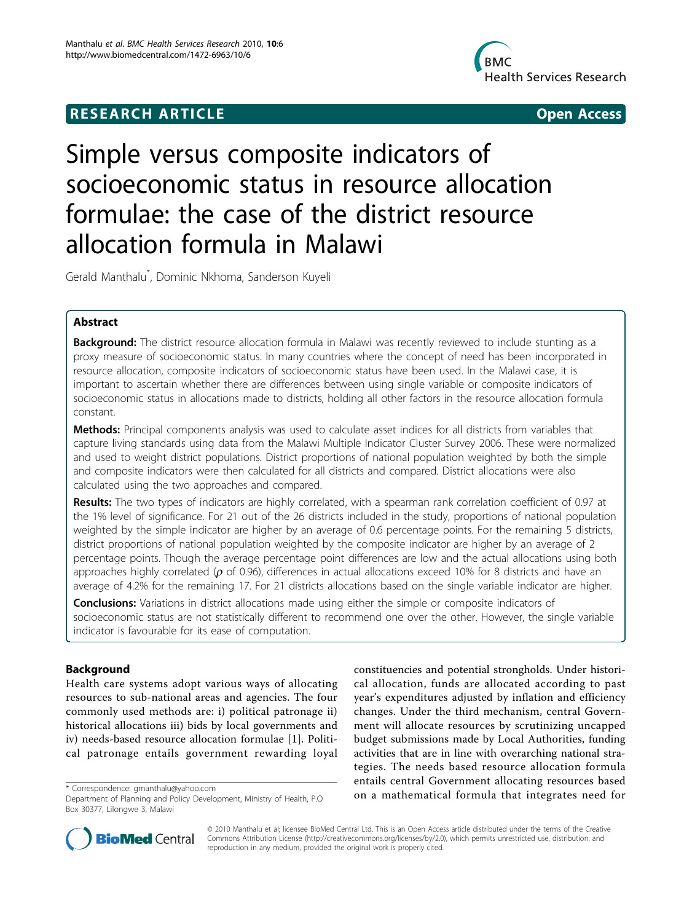# **RESEARCH ARTICLE Example 2014 12:25 Open Access**





# Simple versus composite indicators of socioeconomic status in resource allocation formulae: the case of the district resource allocation formula in Malawi

Gerald Manthalu\* , Dominic Nkhoma, Sanderson Kuyeli

# Abstract

Background: The district resource allocation formula in Malawi was recently reviewed to include stunting as a proxy measure of socioeconomic status. In many countries where the concept of need has been incorporated in resource allocation, composite indicators of socioeconomic status have been used. In the Malawi case, it is important to ascertain whether there are differences between using single variable or composite indicators of socioeconomic status in allocations made to districts, holding all other factors in the resource allocation formula constant.

Methods: Principal components analysis was used to calculate asset indices for all districts from variables that capture living standards using data from the Malawi Multiple Indicator Cluster Survey 2006. These were normalized and used to weight district populations. District proportions of national population weighted by both the simple and composite indicators were then calculated for all districts and compared. District allocations were also calculated using the two approaches and compared.

Results: The two types of indicators are highly correlated, with a spearman rank correlation coefficient of 0.97 at the 1% level of significance. For 21 out of the 26 districts included in the study, proportions of national population weighted by the simple indicator are higher by an average of 0.6 percentage points. For the remaining 5 districts, district proportions of national population weighted by the composite indicator are higher by an average of 2 percentage points. Though the average percentage point differences are low and the actual allocations using both approaches highly correlated ( $\rho$  of 0.96), differences in actual allocations exceed 10% for 8 districts and have an average of 4.2% for the remaining 17. For 21 districts allocations based on the single variable indicator are higher.

**Conclusions:** Variations in district allocations made using either the simple or composite indicators of socioeconomic status are not statistically different to recommend one over the other. However, the single variable indicator is favourable for its ease of computation.

# Background

Health care systems adopt various ways of allocating resources to sub-national areas and agencies. The four commonly used methods are: i) political patronage ii) historical allocations iii) bids by local governments and iv) needs-based resource allocation formulae [\[1](#page-7-0)]. Political patronage entails government rewarding loyal

constituencies and potential strongholds. Under historical allocation, funds are allocated according to past year's expenditures adjusted by inflation and efficiency changes. Under the third mechanism, central Government will allocate resources by scrutinizing uncapped budget submissions made by Local Authorities, funding activities that are in line with overarching national strategies. The needs based resource allocation formula entails central Government allocating resources based \* Correspondence: [gmanthalu@yahoo.com](mailto:gmanthalu@yahoo.com) **and the mathematical formula that integrates need for** \* Correspondence: gmanthalu@yahoo.com **a notational that integrates need for** 



© 2010 Manthalu et al; licensee BioMed Central Ltd. This is an Open Access article distributed under the terms of the Creative Commons Attribution License [\(http://creativecommons.org/licenses/by/2.0](http://creativecommons.org/licenses/by/2.0)), which permits unrestricted use, distribution, and reproduction in any medium, provided the original work is properly cited.

Department of Planning and Policy Development, Ministry of Health, P.O Box 30377, Lilongwe 3, Malawi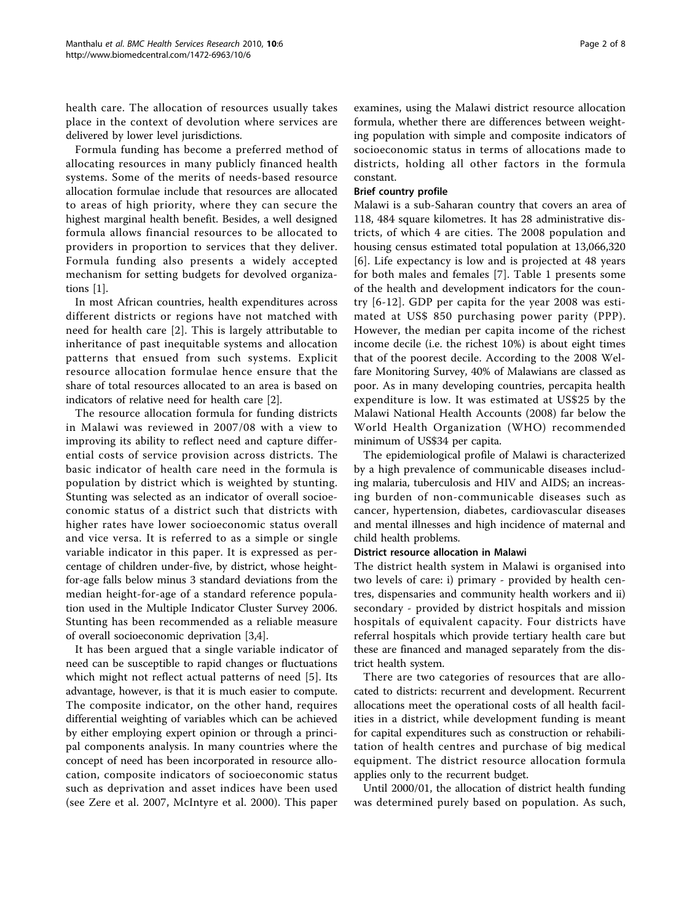health care. The allocation of resources usually takes place in the context of devolution where services are delivered by lower level jurisdictions.

Formula funding has become a preferred method of allocating resources in many publicly financed health systems. Some of the merits of needs-based resource allocation formulae include that resources are allocated to areas of high priority, where they can secure the highest marginal health benefit. Besides, a well designed formula allows financial resources to be allocated to providers in proportion to services that they deliver. Formula funding also presents a widely accepted mechanism for setting budgets for devolved organizations [\[1\]](#page-7-0).

In most African countries, health expenditures across different districts or regions have not matched with need for health care [[2\]](#page-7-0). This is largely attributable to inheritance of past inequitable systems and allocation patterns that ensued from such systems. Explicit resource allocation formulae hence ensure that the share of total resources allocated to an area is based on indicators of relative need for health care [[2\]](#page-7-0).

The resource allocation formula for funding districts in Malawi was reviewed in 2007/08 with a view to improving its ability to reflect need and capture differential costs of service provision across districts. The basic indicator of health care need in the formula is population by district which is weighted by stunting. Stunting was selected as an indicator of overall socioeconomic status of a district such that districts with higher rates have lower socioeconomic status overall and vice versa. It is referred to as a simple or single variable indicator in this paper. It is expressed as percentage of children under-five, by district, whose heightfor-age falls below minus 3 standard deviations from the median height-for-age of a standard reference population used in the Multiple Indicator Cluster Survey 2006. Stunting has been recommended as a reliable measure of overall socioeconomic deprivation [[3,4\]](#page-7-0).

It has been argued that a single variable indicator of need can be susceptible to rapid changes or fluctuations which might not reflect actual patterns of need [[5](#page-7-0)]. Its advantage, however, is that it is much easier to compute. The composite indicator, on the other hand, requires differential weighting of variables which can be achieved by either employing expert opinion or through a principal components analysis. In many countries where the concept of need has been incorporated in resource allocation, composite indicators of socioeconomic status such as deprivation and asset indices have been used (see Zere et al. 2007, McIntyre et al. 2000). This paper

examines, using the Malawi district resource allocation formula, whether there are differences between weighting population with simple and composite indicators of socioeconomic status in terms of allocations made to districts, holding all other factors in the formula constant.

#### Brief country profile

Malawi is a sub-Saharan country that covers an area of 118, 484 square kilometres. It has 28 administrative districts, of which 4 are cities. The 2008 population and housing census estimated total population at 13,066,320 [[6](#page-7-0)]. Life expectancy is low and is projected at 48 years for both males and females [[7](#page-7-0)]. Table [1](#page-2-0) presents some of the health and development indicators for the country [[6-12\]](#page-7-0). GDP per capita for the year 2008 was estimated at US\$ 850 purchasing power parity (PPP). However, the median per capita income of the richest income decile (i.e. the richest 10%) is about eight times that of the poorest decile. According to the 2008 Welfare Monitoring Survey, 40% of Malawians are classed as poor. As in many developing countries, percapita health expenditure is low. It was estimated at US\$25 by the Malawi National Health Accounts (2008) far below the World Health Organization (WHO) recommended minimum of US\$34 per capita.

The epidemiological profile of Malawi is characterized by a high prevalence of communicable diseases including malaria, tuberculosis and HIV and AIDS; an increasing burden of non-communicable diseases such as cancer, hypertension, diabetes, cardiovascular diseases and mental illnesses and high incidence of maternal and child health problems.

#### District resource allocation in Malawi

The district health system in Malawi is organised into two levels of care: i) primary - provided by health centres, dispensaries and community health workers and ii) secondary - provided by district hospitals and mission hospitals of equivalent capacity. Four districts have referral hospitals which provide tertiary health care but these are financed and managed separately from the district health system.

There are two categories of resources that are allocated to districts: recurrent and development. Recurrent allocations meet the operational costs of all health facilities in a district, while development funding is meant for capital expenditures such as construction or rehabilitation of health centres and purchase of big medical equipment. The district resource allocation formula applies only to the recurrent budget.

Until 2000/01, the allocation of district health funding was determined purely based on population. As such,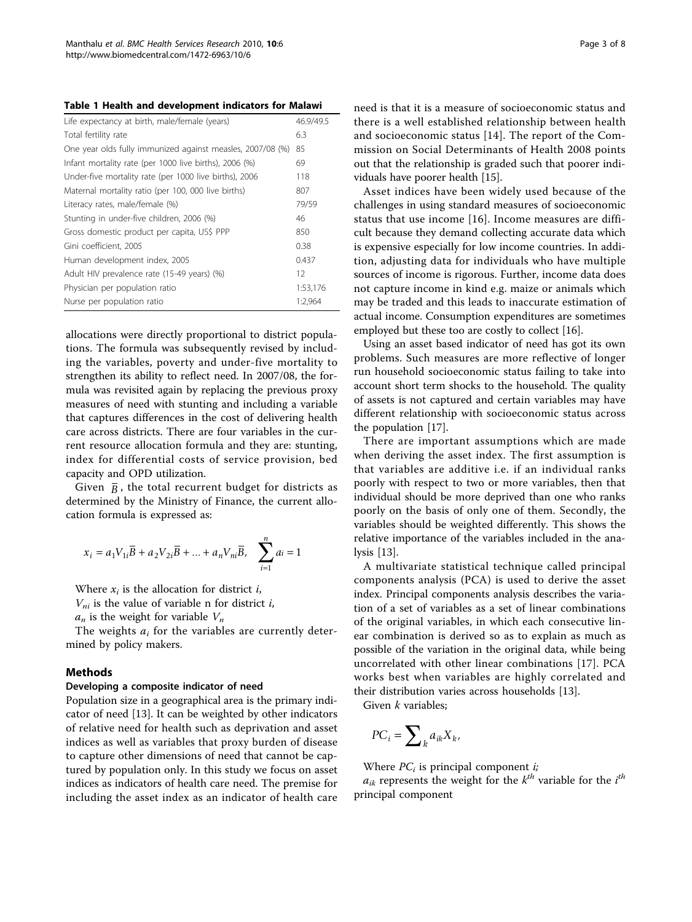<span id="page-2-0"></span>Table 1 Health and development indicators for Malawi

| Life expectancy at birth, male/female (years)              | 46.9/49.5 |
|------------------------------------------------------------|-----------|
| Total fertility rate                                       | 6.3       |
| One year olds fully immunized against measles, 2007/08 (%) | 85        |
| Infant mortality rate (per 1000 live births), 2006 (%)     | 69        |
| Under-five mortality rate (per 1000 live births), 2006     | 118       |
| Maternal mortality ratio (per 100, 000 live births)        | 807       |
| Literacy rates, male/female (%)                            | 79/59     |
| Stunting in under-five children, 2006 (%)                  | 46        |
| Gross domestic product per capita, US\$ PPP                | 850       |
| Gini coefficient, 2005                                     | 0.38      |
| Human development index, 2005                              | 0.437     |
| Adult HIV prevalence rate (15-49 years) (%)                | 12        |
| Physician per population ratio                             | 1:53,176  |
| Nurse per population ratio                                 | 1:2,964   |

allocations were directly proportional to district populations. The formula was subsequently revised by including the variables, poverty and under-five mortality to strengthen its ability to reflect need. In 2007/08, the formula was revisited again by replacing the previous proxy measures of need with stunting and including a variable that captures differences in the cost of delivering health care across districts. There are four variables in the current resource allocation formula and they are: stunting, index for differential costs of service provision, bed capacity and OPD utilization.

Given  $\bar{B}$ , the total recurrent budget for districts as determined by the Ministry of Finance, the current allocation formula is expressed as:

$$
x_{i} = a_{1}V_{1i}\overline{B} + a_{2}V_{2i}\overline{B} + \dots + a_{n}V_{ni}\overline{B}, \quad \sum_{i=1}^{n} a_{i} = 1
$$

Where  $x_i$  is the allocation for district *i*,

 $V_{ni}$  is the value of variable n for district *i*,

 $a_n$  is the weight for variable  $V_n$ 

The weights  $a_i$  for the variables are currently determined by policy makers.

# Methods

#### Developing a composite indicator of need

Population size in a geographical area is the primary indicator of need [[13\]](#page-7-0). It can be weighted by other indicators of relative need for health such as deprivation and asset indices as well as variables that proxy burden of disease to capture other dimensions of need that cannot be captured by population only. In this study we focus on asset indices as indicators of health care need. The premise for including the asset index as an indicator of health care need is that it is a measure of socioeconomic status and there is a well established relationship between health and socioeconomic status [[14\]](#page-7-0). The report of the Commission on Social Determinants of Health 2008 points out that the relationship is graded such that poorer individuals have poorer health [[15](#page-7-0)].

Asset indices have been widely used because of the challenges in using standard measures of socioeconomic status that use income [\[16\]](#page-7-0). Income measures are difficult because they demand collecting accurate data which is expensive especially for low income countries. In addition, adjusting data for individuals who have multiple sources of income is rigorous. Further, income data does not capture income in kind e.g. maize or animals which may be traded and this leads to inaccurate estimation of actual income. Consumption expenditures are sometimes employed but these too are costly to collect [\[16\]](#page-7-0).

Using an asset based indicator of need has got its own problems. Such measures are more reflective of longer run household socioeconomic status failing to take into account short term shocks to the household. The quality of assets is not captured and certain variables may have different relationship with socioeconomic status across the population [\[17\]](#page-7-0).

There are important assumptions which are made when deriving the asset index. The first assumption is that variables are additive i.e. if an individual ranks poorly with respect to two or more variables, then that individual should be more deprived than one who ranks poorly on the basis of only one of them. Secondly, the variables should be weighted differently. This shows the relative importance of the variables included in the analysis [\[13\]](#page-7-0).

A multivariate statistical technique called principal components analysis (PCA) is used to derive the asset index. Principal components analysis describes the variation of a set of variables as a set of linear combinations of the original variables, in which each consecutive linear combination is derived so as to explain as much as possible of the variation in the original data, while being uncorrelated with other linear combinations [[17](#page-7-0)]. PCA works best when variables are highly correlated and their distribution varies across households [\[13](#page-7-0)].

Given  $k$  variables;

$$
PC_i = \sum\nolimits_k a_{ik} X_k,
$$

Where  $PC_i$  is principal component  $i$ ;

 $a_{ik}$  represents the weight for the  $k^{th}$  variable for the  $i^{th}$ principal component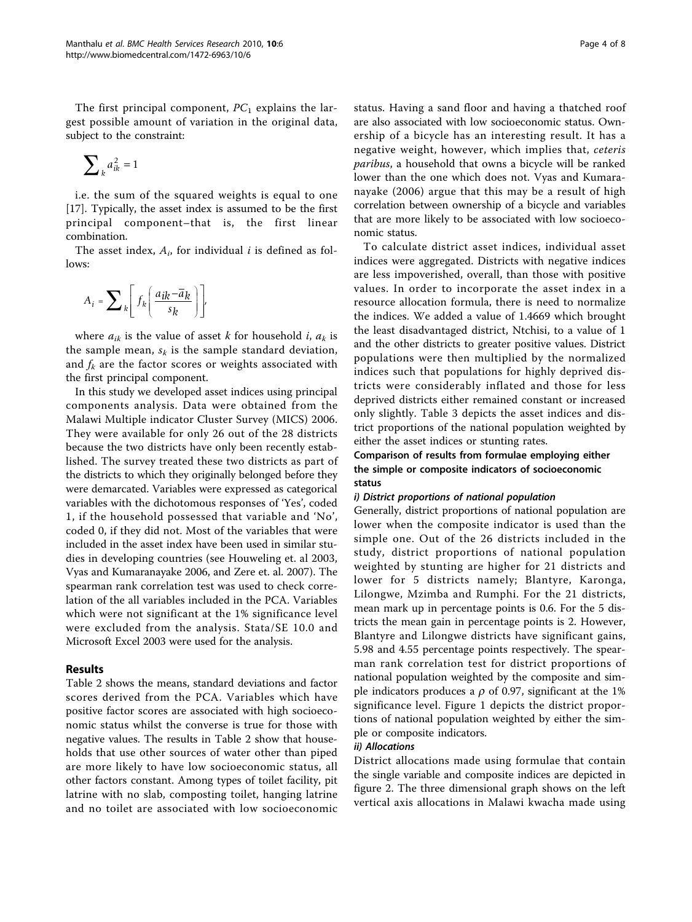The first principal component,  $PC_1$  explains the largest possible amount of variation in the original data, subject to the constraint:

$$
\sum\nolimits_k^{} a_{ik}^2 = 1
$$

i.e. the sum of the squared weights is equal to one [[17\]](#page-7-0). Typically, the asset index is assumed to be the first principal component–that is, the first linear combination.

The asset index,  $A_i$ , for individual *i* is defined as follows:

$$
A_i = \sum k \left[ f_k \left( \frac{a_{ik} - \overline{a}_k}{s_k} \right) \right]
$$

where  $a_{ik}$  is the value of asset k for household i,  $a_k$  is the sample mean,  $s_k$  is the sample standard deviation, and  $f_k$  are the factor scores or weights associated with the first principal component.

In this study we developed asset indices using principal components analysis. Data were obtained from the Malawi Multiple indicator Cluster Survey (MICS) 2006. They were available for only 26 out of the 28 districts because the two districts have only been recently established. The survey treated these two districts as part of the districts to which they originally belonged before they were demarcated. Variables were expressed as categorical variables with the dichotomous responses of 'Yes', coded 1, if the household possessed that variable and 'No', coded 0, if they did not. Most of the variables that were included in the asset index have been used in similar studies in developing countries (see Houweling et. al 2003, Vyas and Kumaranayake 2006, and Zere et. al. 2007). The spearman rank correlation test was used to check correlation of the all variables included in the PCA. Variables which were not significant at the 1% significance level were excluded from the analysis. Stata/SE 10.0 and Microsoft Excel 2003 were used for the analysis.

# Results

Table [2](#page-4-0) shows the means, standard deviations and factor scores derived from the PCA. Variables which have positive factor scores are associated with high socioeconomic status whilst the converse is true for those with negative values. The results in Table [2](#page-4-0) show that households that use other sources of water other than piped are more likely to have low socioeconomic status, all other factors constant. Among types of toilet facility, pit latrine with no slab, composting toilet, hanging latrine and no toilet are associated with low socioeconomic status. Having a sand floor and having a thatched roof are also associated with low socioeconomic status. Ownership of a bicycle has an interesting result. It has a negative weight, however, which implies that, ceteris paribus, a household that owns a bicycle will be ranked lower than the one which does not. Vyas and Kumaranayake (2006) argue that this may be a result of high correlation between ownership of a bicycle and variables that are more likely to be associated with low socioeconomic status.

To calculate district asset indices, individual asset indices were aggregated. Districts with negative indices are less impoverished, overall, than those with positive values. In order to incorporate the asset index in a resource allocation formula, there is need to normalize the indices. We added a value of 1.4669 which brought the least disadvantaged district, Ntchisi, to a value of 1 and the other districts to greater positive values. District populations were then multiplied by the normalized indices such that populations for highly deprived districts were considerably inflated and those for less deprived districts either remained constant or increased only slightly. Table [3](#page-5-0) depicts the asset indices and district proportions of the national population weighted by either the asset indices or stunting rates.

# Comparison of results from formulae employing either the simple or composite indicators of socioeconomic status

# i) District proportions of national population

Generally, district proportions of national population are lower when the composite indicator is used than the simple one. Out of the 26 districts included in the study, district proportions of national population weighted by stunting are higher for 21 districts and lower for 5 districts namely; Blantyre, Karonga, Lilongwe, Mzimba and Rumphi. For the 21 districts, mean mark up in percentage points is 0.6. For the 5 districts the mean gain in percentage points is 2. However, Blantyre and Lilongwe districts have significant gains, 5.98 and 4.55 percentage points respectively. The spearman rank correlation test for district proportions of national population weighted by the composite and simple indicators produces a  $\rho$  of 0.97, significant at the 1% significance level. Figure [1](#page-6-0) depicts the district proportions of national population weighted by either the simple or composite indicators.

# ii) Allocations

District allocations made using formulae that contain the single variable and composite indices are depicted in figure [2.](#page-6-0) The three dimensional graph shows on the left vertical axis allocations in Malawi kwacha made using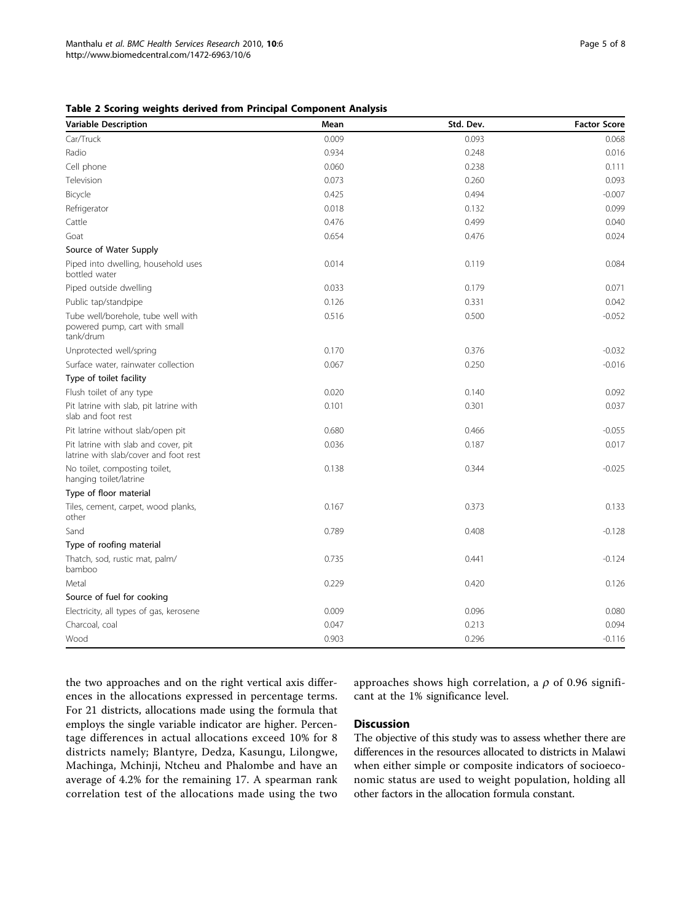### <span id="page-4-0"></span>Table 2 Scoring weights derived from Principal Component Analysis

| <b>Variable Description</b>                                                      | Mean  | Std. Dev. | <b>Factor Score</b> |
|----------------------------------------------------------------------------------|-------|-----------|---------------------|
| Car/Truck                                                                        | 0.009 | 0.093     | 0.068               |
| Radio                                                                            | 0.934 | 0.248     | 0.016               |
| Cell phone                                                                       | 0.060 | 0.238     | 0.111               |
| Television                                                                       | 0.073 | 0.260     | 0.093               |
| Bicycle                                                                          | 0.425 | 0.494     | $-0.007$            |
| Refrigerator                                                                     | 0.018 | 0.132     | 0.099               |
| Cattle                                                                           | 0.476 | 0.499     | 0.040               |
| Goat                                                                             | 0.654 | 0.476     | 0.024               |
| Source of Water Supply                                                           |       |           |                     |
| Piped into dwelling, household uses<br>bottled water                             | 0.014 | 0.119     | 0.084               |
| Piped outside dwelling                                                           | 0.033 | 0.179     | 0.071               |
| Public tap/standpipe                                                             | 0.126 | 0.331     | 0.042               |
| Tube well/borehole, tube well with<br>powered pump, cart with small<br>tank/drum | 0.516 | 0.500     | $-0.052$            |
| Unprotected well/spring                                                          | 0.170 | 0.376     | $-0.032$            |
| Surface water, rainwater collection                                              | 0.067 | 0.250     | $-0.016$            |
| Type of toilet facility                                                          |       |           |                     |
| Flush toilet of any type                                                         | 0.020 | 0.140     | 0.092               |
| Pit latrine with slab, pit latrine with<br>slab and foot rest                    | 0.101 | 0.301     | 0.037               |
| Pit latrine without slab/open pit                                                | 0.680 | 0.466     | $-0.055$            |
| Pit latrine with slab and cover, pit<br>latrine with slab/cover and foot rest    | 0.036 | 0.187     | 0.017               |
| No toilet, composting toilet,<br>hanging toilet/latrine                          | 0.138 | 0.344     | $-0.025$            |
| Type of floor material                                                           |       |           |                     |
| Tiles, cement, carpet, wood planks,<br>other                                     | 0.167 | 0.373     | 0.133               |
| Sand                                                                             | 0.789 | 0.408     | $-0.128$            |
| Type of roofing material                                                         |       |           |                     |
| Thatch, sod, rustic mat, palm/<br>bamboo                                         | 0.735 | 0.441     | $-0.124$            |
| Metal                                                                            | 0.229 | 0.420     | 0.126               |
| Source of fuel for cooking                                                       |       |           |                     |
| Electricity, all types of gas, kerosene                                          | 0.009 | 0.096     | 0.080               |
| Charcoal, coal                                                                   | 0.047 | 0.213     | 0.094               |
| Wood                                                                             | 0.903 | 0.296     | $-0.116$            |

the two approaches and on the right vertical axis differences in the allocations expressed in percentage terms. For 21 districts, allocations made using the formula that employs the single variable indicator are higher. Percentage differences in actual allocations exceed 10% for 8 districts namely; Blantyre, Dedza, Kasungu, Lilongwe, Machinga, Mchinji, Ntcheu and Phalombe and have an average of 4.2% for the remaining 17. A spearman rank correlation test of the allocations made using the two approaches shows high correlation, a  $\rho$  of 0.96 significant at the 1% significance level.

#### Discussion

The objective of this study was to assess whether there are differences in the resources allocated to districts in Malawi when either simple or composite indicators of socioeconomic status are used to weight population, holding all other factors in the allocation formula constant.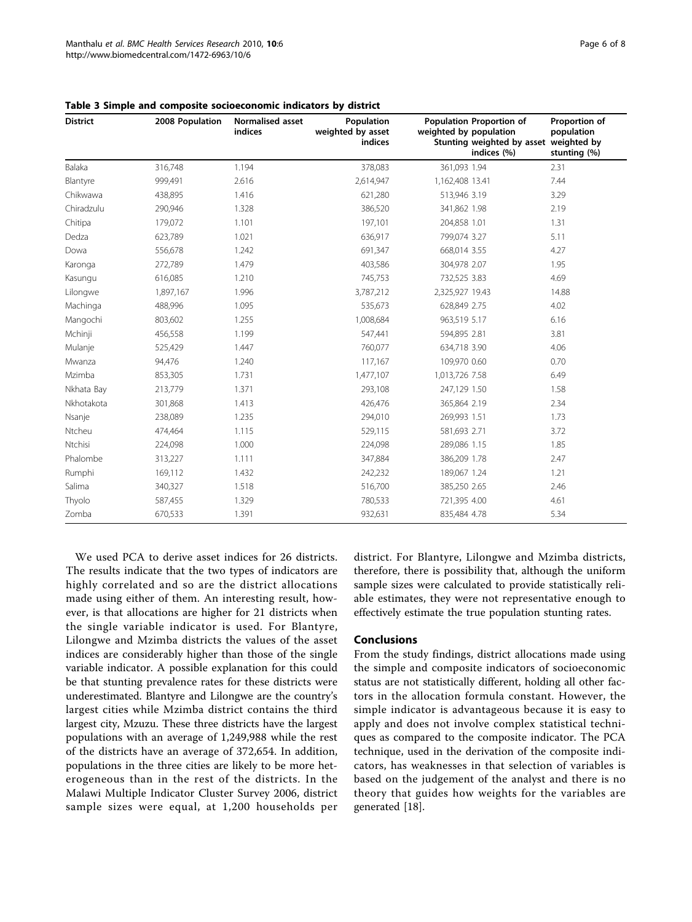| <b>District</b> | 2008 Population | Normalised asset<br>indices | Population<br>weighted by asset<br>indices | Population Proportion of<br>weighted by population<br>Stunting weighted by asset weighted by<br>indices (%) | Proportion of<br>population<br>stunting (%) |
|-----------------|-----------------|-----------------------------|--------------------------------------------|-------------------------------------------------------------------------------------------------------------|---------------------------------------------|
| Balaka          | 316,748         | 1.194                       | 378,083                                    | 361.093 1.94                                                                                                | 2.31                                        |
| Blantyre        | 999,491         | 2.616                       | 2,614,947                                  | 1,162,408 13.41                                                                                             | 7.44                                        |
| Chikwawa        | 438,895         | 1.416                       | 621,280                                    | 513,946 3.19                                                                                                | 3.29                                        |
| Chiradzulu      | 290,946         | 1.328                       | 386,520                                    | 341,862 1.98                                                                                                | 2.19                                        |
| Chitipa         | 179,072         | 1.101                       | 197,101                                    | 204,858 1.01                                                                                                | 1.31                                        |
| Dedza           | 623,789         | 1.021                       | 636,917                                    | 799,074 3.27                                                                                                | 5.11                                        |
| Dowa            | 556,678         | 1.242                       | 691,347                                    | 668,014 3.55                                                                                                | 4.27                                        |
| Karonga         | 272,789         | 1.479                       | 403,586                                    | 304,978 2.07                                                                                                | 1.95                                        |
| Kasungu         | 616,085         | 1.210                       | 745,753                                    | 732,525 3.83                                                                                                | 4.69                                        |
| Lilongwe        | 1,897,167       | 1.996                       | 3,787,212                                  | 2,325,927 19.43                                                                                             | 14.88                                       |
| Machinga        | 488,996         | 1.095                       | 535,673                                    | 628,849 2.75                                                                                                | 4.02                                        |
| Mangochi        | 803,602         | 1.255                       | 1,008,684                                  | 963,519 5.17                                                                                                | 6.16                                        |
| Mchinji         | 456,558         | 1.199                       | 547,441                                    | 594,895 2.81                                                                                                | 3.81                                        |
| Mulanje         | 525,429         | 1.447                       | 760,077                                    | 634,718 3.90                                                                                                | 4.06                                        |
| Mwanza          | 94,476          | 1.240                       | 117,167                                    | 109,970 0.60                                                                                                | 0.70                                        |
| Mzimba          | 853,305         | 1.731                       | 1,477,107                                  | 1,013,726 7.58                                                                                              | 6.49                                        |
| Nkhata Bay      | 213,779         | 1.371                       | 293,108                                    | 247,129 1.50                                                                                                | 1.58                                        |
| Nkhotakota      | 301,868         | 1.413                       | 426,476                                    | 365,864 2.19                                                                                                | 2.34                                        |
| Nsanje          | 238,089         | 1.235                       | 294,010                                    | 269,993 1.51                                                                                                | 1.73                                        |
| Ntcheu          | 474,464         | 1.115                       | 529,115                                    | 581,693 2.71                                                                                                | 3.72                                        |
| Ntchisi         | 224,098         | 1.000                       | 224,098                                    | 289,086 1.15                                                                                                | 1.85                                        |
| Phalombe        | 313,227         | 1.111                       | 347,884                                    | 386,209 1.78                                                                                                | 2.47                                        |
| Rumphi          | 169,112         | 1.432                       | 242,232                                    | 189,067 1.24                                                                                                | 1.21                                        |
| Salima          | 340,327         | 1.518                       | 516,700                                    | 385,250 2.65                                                                                                | 2.46                                        |
| Thyolo          | 587,455         | 1.329                       | 780,533                                    | 721,395 4.00                                                                                                | 4.61                                        |
| Zomba           | 670,533         | 1.391                       | 932,631                                    | 835,484 4.78                                                                                                | 5.34                                        |

<span id="page-5-0"></span>Table 3 Simple and composite socioeconomic indicators by district

We used PCA to derive asset indices for 26 districts. The results indicate that the two types of indicators are highly correlated and so are the district allocations made using either of them. An interesting result, however, is that allocations are higher for 21 districts when the single variable indicator is used. For Blantyre, Lilongwe and Mzimba districts the values of the asset indices are considerably higher than those of the single variable indicator. A possible explanation for this could be that stunting prevalence rates for these districts were underestimated. Blantyre and Lilongwe are the country's largest cities while Mzimba district contains the third largest city, Mzuzu. These three districts have the largest populations with an average of 1,249,988 while the rest of the districts have an average of 372,654. In addition, populations in the three cities are likely to be more heterogeneous than in the rest of the districts. In the Malawi Multiple Indicator Cluster Survey 2006, district sample sizes were equal, at 1,200 households per district. For Blantyre, Lilongwe and Mzimba districts, therefore, there is possibility that, although the uniform sample sizes were calculated to provide statistically reliable estimates, they were not representative enough to effectively estimate the true population stunting rates.

# Conclusions

From the study findings, district allocations made using the simple and composite indicators of socioeconomic status are not statistically different, holding all other factors in the allocation formula constant. However, the simple indicator is advantageous because it is easy to apply and does not involve complex statistical techniques as compared to the composite indicator. The PCA technique, used in the derivation of the composite indicators, has weaknesses in that selection of variables is based on the judgement of the analyst and there is no theory that guides how weights for the variables are generated [[18](#page-7-0)].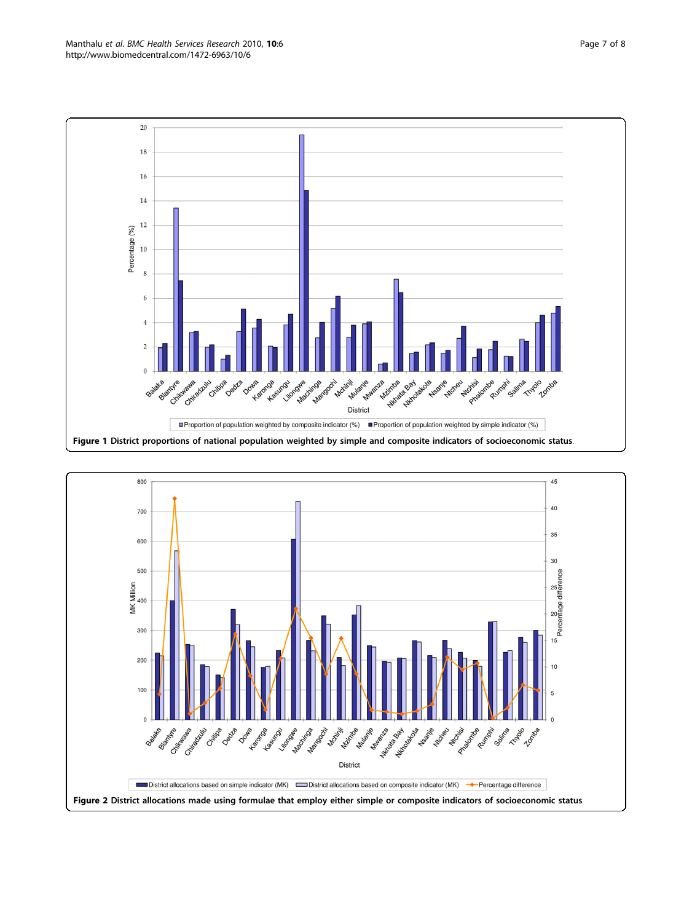<span id="page-6-0"></span>